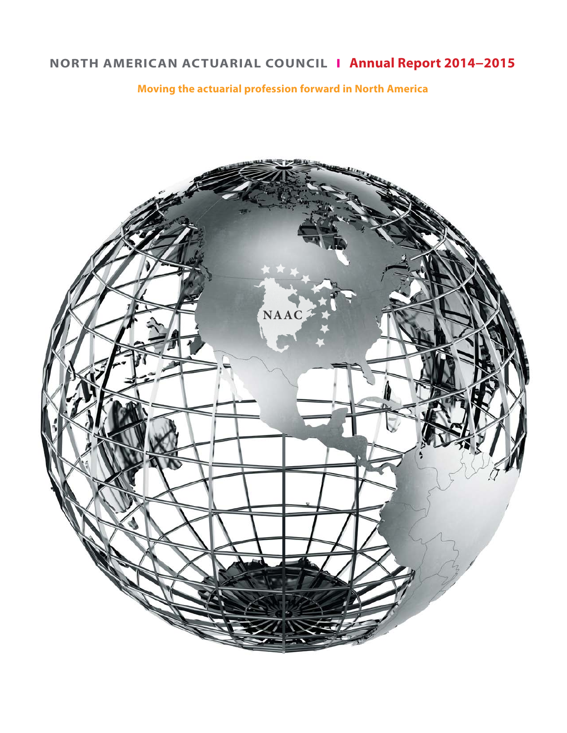# **NORTH AMERICAN ACTUARIAL COUNCIL I Annual Report 2014−2015**

# **Moving the actuarial profession forward in North America**

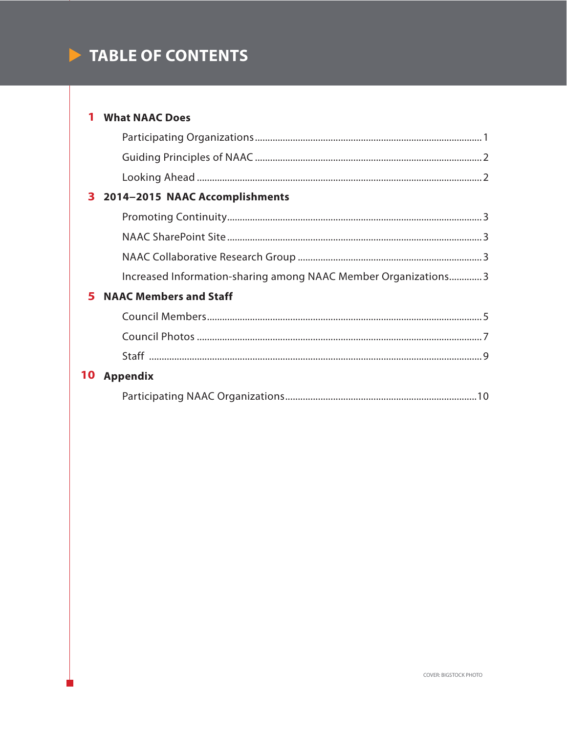# TABLE OF CONTENTS

## 1 What NAAC Does

| 3<br>2014-2015 NAAC Accomplishments                            |
|----------------------------------------------------------------|
|                                                                |
|                                                                |
|                                                                |
| Increased Information-sharing among NAAC Member Organizations3 |
| <b>NAAC Members and Staff</b>                                  |
|                                                                |
|                                                                |
|                                                                |
| <b>Appendix</b>                                                |
|                                                                |
|                                                                |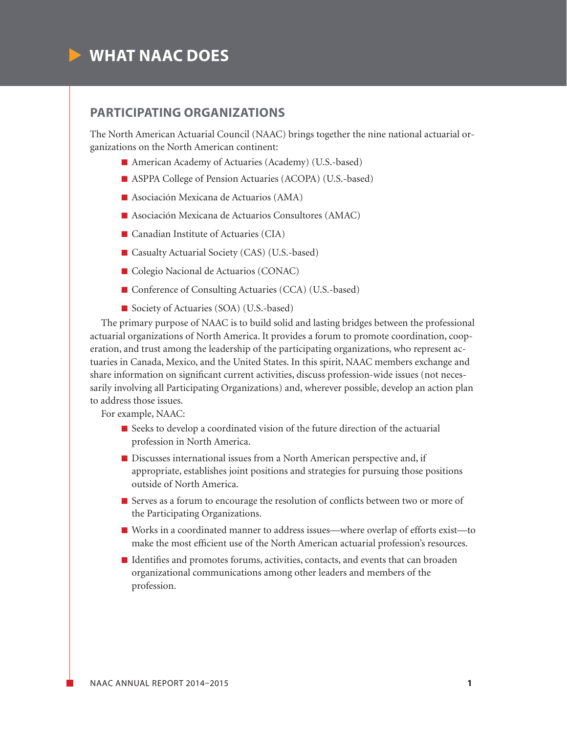

# **PARTICIPATING ORGANIZATIONS**

The North American Actuarial Council (NAAC) brings together the nine national actuarial organizations on the North American continent:

- $\blacksquare$  American Academy of Actuaries (Academy) (U.S.-based)
- ASPPA College of Pension Actuaries (ACOPA) (U.S.-based)
- $\blacksquare$  Asociación Mexicana de Actuarios (AMA)
- $\blacksquare$  Asociación Mexicana de Actuarios Consultores (AMAC)
- $\blacksquare$  Canadian Institute of Actuaries (CIA)
- Casualty Actuarial Society (CAS) (U.S.-based)
- $\blacksquare$  Colegio Nacional de Actuarios (CONAC)
- Conference of Consulting Actuaries (CCA) (U.S.-based)
- Society of Actuaries (SOA) (U.S.-based)

The primary purpose of NAAC is to build solid and lasting bridges between the professional actuarial organizations of North America. It provides a forum to promote coordination, cooperation, and trust among the leadership of the participating organizations, who represent actuaries in Canada, Mexico, and the United States. In this spirit, NAAC members exchange and share information on significant current activities, discuss profession-wide issues (not necessarily involving all Participating Organizations) and, wherever possible, develop an action plan to address those issues.

For example, NAAC:

- $\blacksquare$  Seeks to develop a coordinated vision of the future direction of the actuarial profession in North America.
- $\blacksquare$  Discusses international issues from a North American perspective and, if appropriate, establishes joint positions and strategies for pursuing those positions outside of North America.
- $\blacksquare$  Serves as a forum to encourage the resolution of conflicts between two or more of the Participating Organizations.
- $\blacksquare$  Works in a coordinated manner to address issues—where overlap of efforts exist—to make the most efficient use of the North American actuarial profession's resources.
- $\blacksquare$  Identifies and promotes forums, activities, contacts, and events that can broaden organizational communications among other leaders and members of the profession.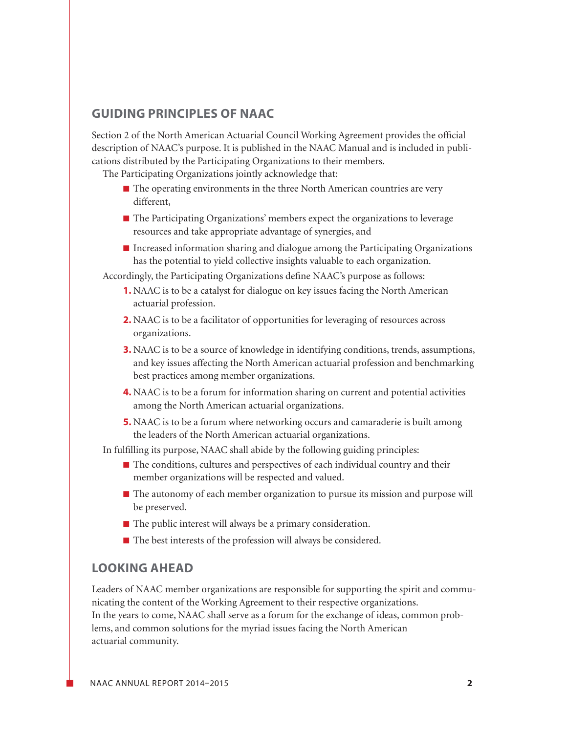## **GUIDING PRINCIPLES OF NAAC**

Section 2 of the North American Actuarial Council Working Agreement provides the official description of NAAC's purpose. It is published in the NAAC Manual and is included in publications distributed by the Participating Organizations to their members.

The Participating Organizations jointly acknowledge that:

- $\blacksquare$  The operating environments in the three North American countries are very different,
- $\blacksquare$  The Participating Organizations' members expect the organizations to leverage resources and take appropriate advantage of synergies, and
- $\blacksquare$  Increased information sharing and dialogue among the Participating Organizations has the potential to yield collective insights valuable to each organization.

Accordingly, the Participating Organizations define NAAC's purpose as follows:

- **1.** NAAC is to be a catalyst for dialogue on key issues facing the North American actuarial profession.
- **2.** NAAC is to be a facilitator of opportunities for leveraging of resources across organizations.
- **3.** NAAC is to be a source of knowledge in identifying conditions, trends, assumptions, and key issues affecting the North American actuarial profession and benchmarking best practices among member organizations.
- **4.** NAAC is to be a forum for information sharing on current and potential activities among the North American actuarial organizations.
- **5.** NAAC is to be a forum where networking occurs and camaraderie is built among the leaders of the North American actuarial organizations.

In fulfilling its purpose, NAAC shall abide by the following guiding principles:

- $\blacksquare$  The conditions, cultures and perspectives of each individual country and their member organizations will be respected and valued.
- The autonomy of each member organization to pursue its mission and purpose will be preserved.
- $\blacksquare$  The public interest will always be a primary consideration.
- $\blacksquare$  The best interests of the profession will always be considered.

#### **LOOKING AHEAD**

Leaders of NAAC member organizations are responsible for supporting the spirit and communicating the content of the Working Agreement to their respective organizations. In the years to come, NAAC shall serve as a forum for the exchange of ideas, common problems, and common solutions for the myriad issues facing the North American actuarial community.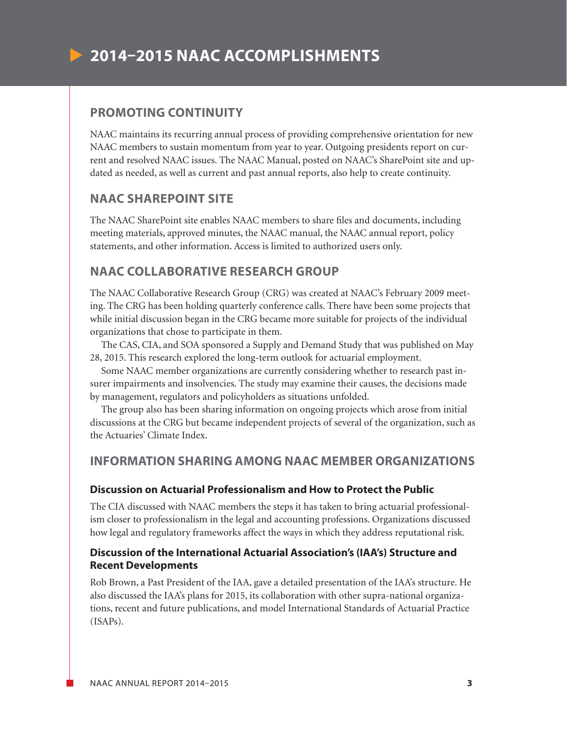

## **PROMOTING CONTINUITY**

NAAC maintains its recurring annual process of providing comprehensive orientation for new NAAC members to sustain momentum from year to year. Outgoing presidents report on current and resolved NAAC issues. The NAAC Manual, posted on NAAC's SharePoint site and updated as needed, as well as current and past annual reports, also help to create continuity.

#### **NAAC SHAREPOINT SITE**

The NAAC SharePoint site enables NAAC members to share files and documents, including meeting materials, approved minutes, the NAAC manual, the NAAC annual report, policy statements, and other information. Access is limited to authorized users only.

# **NAAC COLLABORATIVE RESEARCH GROUP**

The NAAC Collaborative Research Group (CRG) was created at NAAC's February 2009 meeting. The CRG has been holding quarterly conference calls. There have been some projects that while initial discussion began in the CRG became more suitable for projects of the individual organizations that chose to participate in them.

The CAS, CIA, and SOA sponsored a Supply and Demand Study that was published on May 28, 2015. This research explored the long-term outlook for actuarial employment.

Some NAAC member organizations are currently considering whether to research past insurer impairments and insolvencies. The study may examine their causes, the decisions made by management, regulators and policyholders as situations unfolded.

The group also has been sharing information on ongoing projects which arose from initial discussions at the CRG but became independent projects of several of the organization, such as the Actuaries' Climate Index.

### **INFORMATION SHARING AMONG NAAC MEMBER ORGANIZATIONS**

#### **Discussion on Actuarial Professionalism and How to Protect the Public**

The CIA discussed with NAAC members the steps it has taken to bring actuarial professionalism closer to professionalism in the legal and accounting professions. Organizations discussed how legal and regulatory frameworks affect the ways in which they address reputational risk.

#### **Discussion of the International Actuarial Association's (IAA's) Structure and Recent Developments**

Rob Brown, a Past President of the IAA, gave a detailed presentation of the IAA's structure. He also discussed the IAA's plans for 2015, its collaboration with other supra-national organizations, recent and future publications, and model International Standards of Actuarial Practice (ISAPs).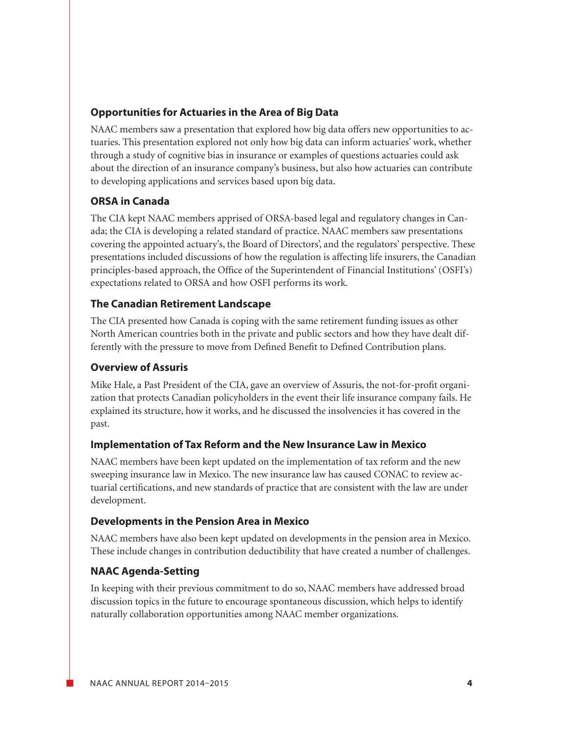#### **Opportunities for Actuaries in the Area of Big Data**

NAAC members saw a presentation that explored how big data offers new opportunities to actuaries. This presentation explored not only how big data can inform actuaries' work, whether through a study of cognitive bias in insurance or examples of questions actuaries could ask about the direction of an insurance company's business, but also how actuaries can contribute to developing applications and services based upon big data.

# **ORSA in Canada**

The CIA kept NAAC members apprised of ORSA-based legal and regulatory changes in Canada; the CIA is developing a related standard of practice. NAAC members saw presentations covering the appointed actuary's, the Board of Directors', and the regulators' perspective. These presentations included discussions of how the regulation is affecting life insurers, the Canadian principles-based approach, the Office of the Superintendent of Financial Institutions' (OSFI's) expectations related to ORSA and how OSFI performs its work.

#### **The Canadian Retirement Landscape**

The CIA presented how Canada is coping with the same retirement funding issues as other North American countries both in the private and public sectors and how they have dealt differently with the pressure to move from Defined Benefit to Defined Contribution plans.

#### **Overview of Assuris**

Mike Hale, a Past President of the CIA, gave an overview of Assuris, the not-for-profit organization that protects Canadian policyholders in the event their life insurance company fails. He explained its structure, how it works, and he discussed the insolvencies it has covered in the past.

#### **Implementation of Tax Reform and the New Insurance Law in Mexico**

NAAC members have been kept updated on the implementation of tax reform and the new sweeping insurance law in Mexico. The new insurance law has caused CONAC to review actuarial certifications, and new standards of practice that are consistent with the law are under development.

#### **Developments in the Pension Area in Mexico**

NAAC members have also been kept updated on developments in the pension area in Mexico. These include changes in contribution deductibility that have created a number of challenges.

#### **NAAC Agenda-Setting**

In keeping with their previous commitment to do so, NAAC members have addressed broad discussion topics in the future to encourage spontaneous discussion, which helps to identify naturally collaboration opportunities among NAAC member organizations.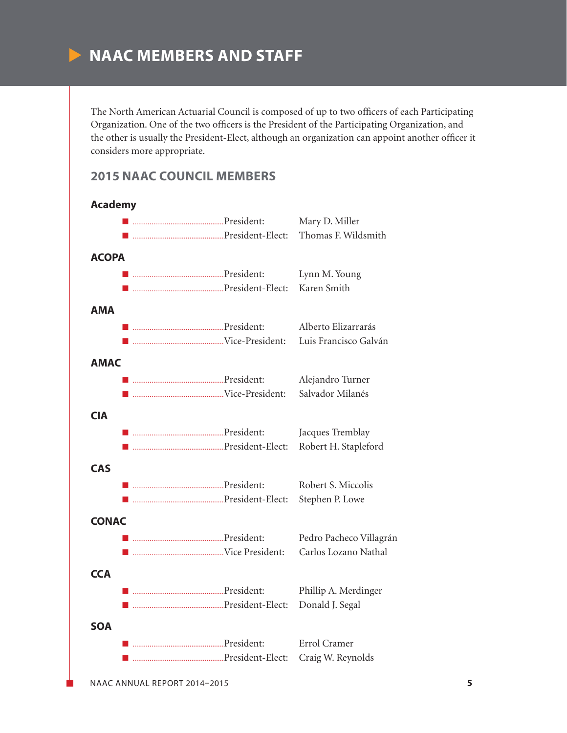# **NAAC MEMBERS AND STAFF**

The North American Actuarial Council is composed of up to two officers of each Participating Organization. One of the two officers is the President of the Participating Organization, and the other is usually the President-Elect, although an organization can appoint another officer it considers more appropriate.

#### **2015 NAAC COUNCIL MEMBERS**

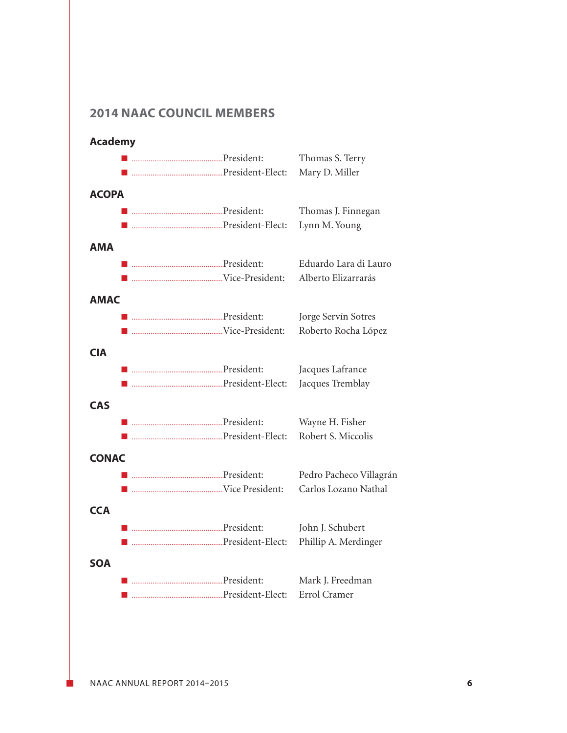# **2014 NAAC COUNCIL MEMBERS**

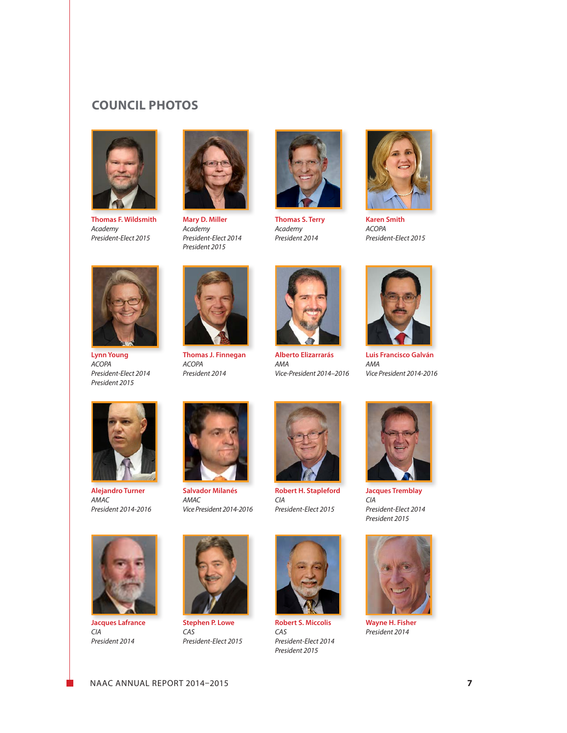# **COUNCIL PHOTOS**



**Thomas F. Wildsmith** *Academy President-Elect 2015*



**Mary D. Miller** *Academy President-Elect 2014 President 2015*



**Thomas S. Terry** *Academy President 2014*



**Karen Smith** *ACOPA President-Elect 2015*



**Lynn Young** *ACOPA President-Elect 2014 President 2015*



**Thomas J. Finnegan** *ACOPA President 2014*



**Alberto Elizarrarás** *AMA Vice-President 2014–2016*



**Luis Francisco Galván** *AMA Vice President 2014-2016*



**Alejandro Turner** *AMAC President 2014-2016*



**Salvador Milanés** *AMAC Vice President 2014-2016*



**Robert H. Stapleford** *CIA President-Elect 2015*

**Robert S. Miccolis**

*President-Elect 2014 President 2015*

*CAS*



**Jacques Tremblay** *CIA President-Elect 2014 President 2015*



**Wayne H. Fisher** *President 2014*



**Jacques Lafrance** *CIA President 2014*



**Stephen P. Lowe** *CAS President-Elect 2015*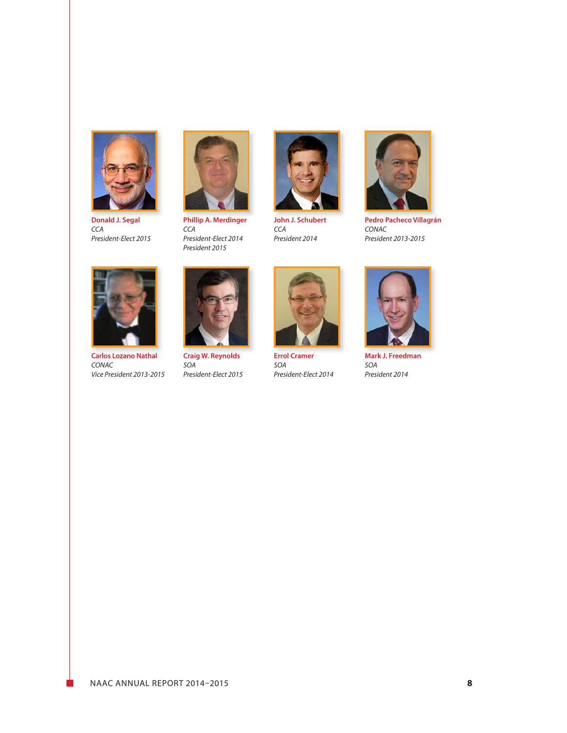

**Donald J. Segal** *CCA President-Elect 2015*



**Phillip A. Merdinger** *CCA President-Elect 2014 President 2015*



**John J. Schubert** *CCA President 2014*



**Pedro Pacheco Villagrán** *CONAC President 2013-2015*



**Carlos Lozano Nathal** *CONAC Vice President 2013-2015*



**Craig W. Reynolds** *SOA President-Elect 2015*



**Errol Cramer** *SOA President-Elect 2014*



**Mark J. Freedman** *SOA President 2014*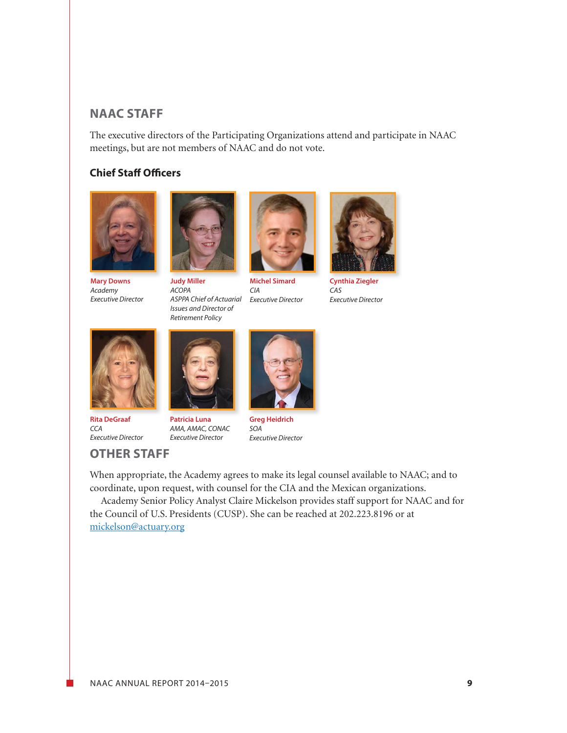# **NAAC STAFF**

The executive directors of the Participating Organizations attend and participate in NAAC meetings, but are not members of NAAC and do not vote.

#### **Chief Staff Officers**



**Mary Downs** *Academy Executive Director*



**Judy Miller** *ACOPA ASPPA Chief of Actuarial Issues and Director of Retirement Policy*



**Michel Simard** *CIA Executive Director*



**Cynthia Ziegler** *CAS Executive Director*



**Rita DeGraaf** *CCA Executive Director*

**OTHER STAFF**

**Patricia Luna** *AMA, AMAC, CONAC Executive Director*



**Greg Heidrich** *SOA Executive Director*

When appropriate, the Academy agrees to make its legal counsel available to NAAC; and to coordinate, upon request, with counsel for the CIA and the Mexican organizations.

Academy Senior Policy Analyst Claire Mickelson provides staff support for NAAC and for the Council of U.S. Presidents (CUSP). She can be reached at 202.223.8196 or at

[mickelson@actuary.org](mailto:mickelson%40actuary.org?subject=)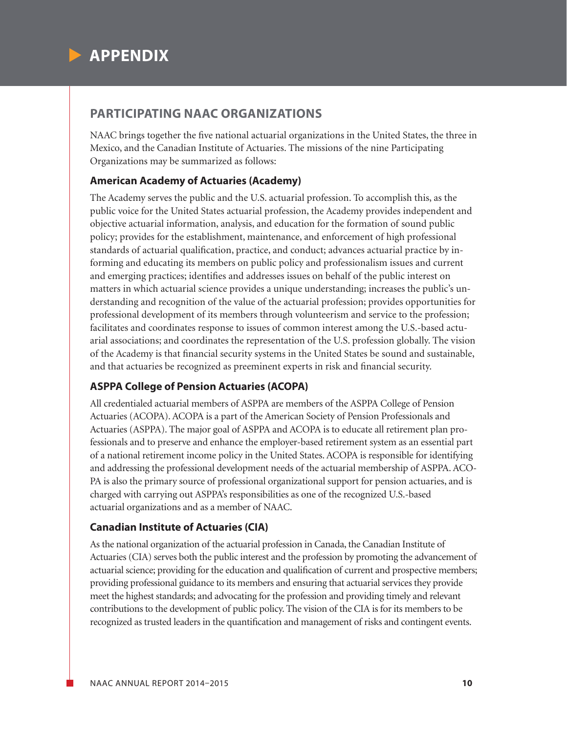

# **PARTICIPATING NAAC ORGANIZATIONS**

NAAC brings together the five national actuarial organizations in the United States, the three in Mexico, and the Canadian Institute of Actuaries. The missions of the nine Participating Organizations may be summarized as follows:

#### **American Academy of Actuaries (Academy)**

The Academy serves the public and the U.S. actuarial profession. To accomplish this, as the public voice for the United States actuarial profession, the Academy provides independent and objective actuarial information, analysis, and education for the formation of sound public policy; provides for the establishment, maintenance, and enforcement of high professional standards of actuarial qualification, practice, and conduct; advances actuarial practice by informing and educating its members on public policy and professionalism issues and current and emerging practices; identifies and addresses issues on behalf of the public interest on matters in which actuarial science provides a unique understanding; increases the public's understanding and recognition of the value of the actuarial profession; provides opportunities for professional development of its members through volunteerism and service to the profession; facilitates and coordinates response to issues of common interest among the U.S.-based actuarial associations; and coordinates the representation of the U.S. profession globally. The vision of the Academy is that financial security systems in the United States be sound and sustainable, and that actuaries be recognized as preeminent experts in risk and financial security.

#### **ASPPA College of Pension Actuaries (ACOPA)**

All credentialed actuarial members of ASPPA are members of the ASPPA College of Pension Actuaries (ACOPA). ACOPA is a part of the American Society of Pension Professionals and Actuaries (ASPPA). The major goal of ASPPA and ACOPA is to educate all retirement plan professionals and to preserve and enhance the employer-based retirement system as an essential part of a national retirement income policy in the United States. ACOPA is responsible for identifying and addressing the professional development needs of the actuarial membership of ASPPA. ACO-PA is also the primary source of professional organizational support for pension actuaries, and is charged with carrying out ASPPA's responsibilities as one of the recognized U.S.-based actuarial organizations and as a member of NAAC.

#### **Canadian Institute of Actuaries (CIA)**

As the national organization of the actuarial profession in Canada, the Canadian Institute of Actuaries (CIA) serves both the public interest and the profession by promoting the advancement of actuarial science; providing for the education and qualification of current and prospective members; providing professional guidance to its members and ensuring that actuarial services they provide meet the highest standards; and advocating for the profession and providing timely and relevant contributions to the development of public policy. The vision of the CIA is for its members to be recognized as trusted leaders in the quantification and management of risks and contingent events.